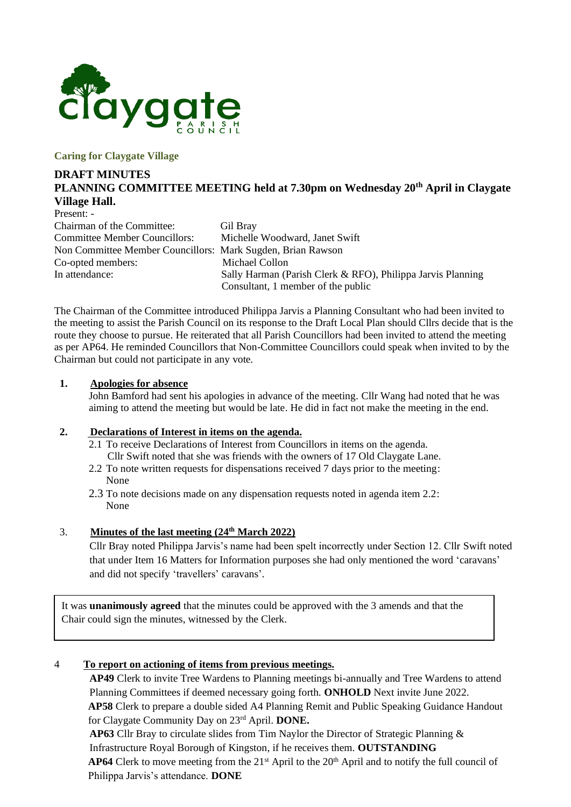

### **Caring for Claygate Village**

## **DRAFT MINUTES PLANNING COMMITTEE MEETING held at 7.30pm on Wednesday 20th April in Claygate Village Hall.**

| Present: -                                                  |                                                             |
|-------------------------------------------------------------|-------------------------------------------------------------|
| Chairman of the Committee:                                  | Gil Bray                                                    |
| <b>Committee Member Councillors:</b>                        | Michelle Woodward, Janet Swift                              |
| Non Committee Member Councillors: Mark Sugden, Brian Rawson |                                                             |
| Co-opted members:                                           | Michael Collon                                              |
| In attendance:                                              | Sally Harman (Parish Clerk & RFO), Philippa Jarvis Planning |
|                                                             | Consultant, 1 member of the public                          |

The Chairman of the Committee introduced Philippa Jarvis a Planning Consultant who had been invited to the meeting to assist the Parish Council on its response to the Draft Local Plan should Cllrs decide that is the route they choose to pursue. He reiterated that all Parish Councillors had been invited to attend the meeting as per AP64. He reminded Councillors that Non-Committee Councillors could speak when invited to by the Chairman but could not participate in any vote.

### **1. Apologies for absence**

John Bamford had sent his apologies in advance of the meeting. Cllr Wang had noted that he was aiming to attend the meeting but would be late. He did in fact not make the meeting in the end.

#### **2. Declarations of Interest in items on the agenda.**

- 2.1 To receive Declarations of Interest from Councillors in items on the agenda.
	- Cllr Swift noted that she was friends with the owners of 17 Old Claygate Lane.
- 2.2 To note written requests for dispensations received 7 days prior to the meeting: None
- 2.3 To note decisions made on any dispensation requests noted in agenda item 2.2: None

## 3. **Minutes of the last meeting (24th March 2022)**

Cllr Bray noted Philippa Jarvis's name had been spelt incorrectly under Section 12. Cllr Swift noted that under Item 16 Matters for Information purposes she had only mentioned the word 'caravans' and did not specify 'travellers' caravans'.

It was **unanimously agreed** that the minutes could be approved with the 3 amends and that the Chair could sign the minutes, witnessed by the Clerk.

#### 4 **To report on actioning of items from previous meetings.**

**AP49** Clerk to invite Tree Wardens to Planning meetings bi-annually and Tree Wardens to attend Planning Committees if deemed necessary going forth. **ONHOLD** Next invite June 2022. **AP58** Clerk to prepare a double sided A4 Planning Remit and Public Speaking Guidance Handout for Claygate Community Day on 23rd April. **DONE. AP63** Cllr Bray to circulate slides from Tim Naylor the Director of Strategic Planning & Infrastructure Royal Borough of Kingston, if he receives them. **OUTSTANDING**

**AP64** Clerk to move meeting from the  $21<sup>st</sup>$  April to the  $20<sup>th</sup>$  April and to notify the full council of Philippa Jarvis's attendance. **DONE**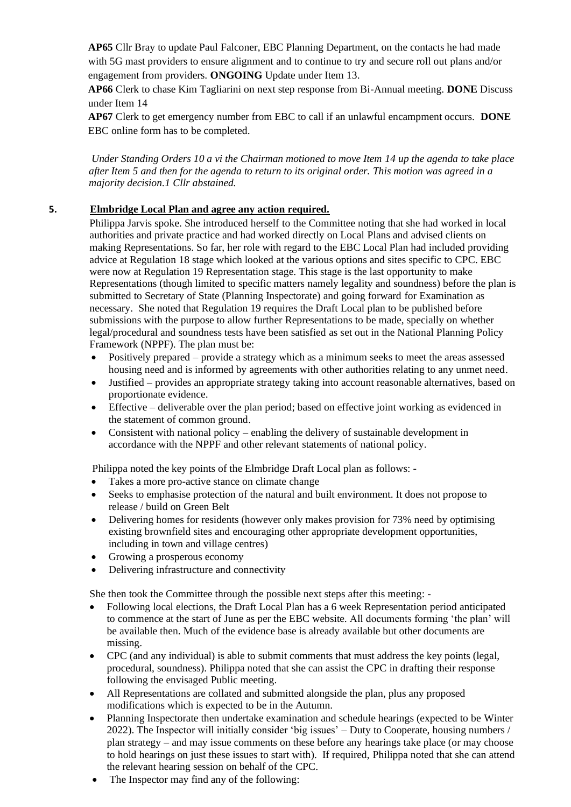**AP65** Cllr Bray to update Paul Falconer, EBC Planning Department, on the contacts he had made with 5G mast providers to ensure alignment and to continue to try and secure roll out plans and/or engagement from providers. **ONGOING** Update under Item 13.

**AP66** Clerk to chase Kim Tagliarini on next step response from Bi-Annual meeting. **DONE** Discuss under Item 14

**AP67** Clerk to get emergency number from EBC to call if an unlawful encampment occurs. **DONE** EBC online form has to be completed.

 *Under Standing Orders 10 a vi the Chairman motioned to move Item 14 up the agenda to take place after Item 5 and then for the agenda to return to its original order. This motion was agreed in a majority decision.1 Cllr abstained.* 

### **5. Elmbridge Local Plan and agree any action required.**

Philippa Jarvis spoke. She introduced herself to the Committee noting that she had worked in local authorities and private practice and had worked directly on Local Plans and advised clients on making Representations. So far, her role with regard to the EBC Local Plan had included providing advice at Regulation 18 stage which looked at the various options and sites specific to CPC. EBC were now at Regulation 19 Representation stage. This stage is the last opportunity to make Representations (though limited to specific matters namely legality and soundness) before the plan is submitted to Secretary of State (Planning Inspectorate) and going forward for Examination as necessary. She noted that Regulation 19 requires the Draft Local plan to be published before submissions with the purpose to allow further Representations to be made, specially on whether legal/procedural and soundness tests have been satisfied as set out in the National Planning Policy Framework (NPPF). The plan must be:

- Positively prepared provide a strategy which as a minimum seeks to meet the areas assessed housing need and is informed by agreements with other authorities relating to any unmet need.
- Justified provides an appropriate strategy taking into account reasonable alternatives, based on proportionate evidence.
- Effective deliverable over the plan period; based on effective joint working as evidenced in the statement of common ground.
- Consistent with national policy enabling the delivery of sustainable development in accordance with the NPPF and other relevant statements of national policy.

Philippa noted the key points of the Elmbridge Draft Local plan as follows: -

- Takes a more pro-active stance on climate change
- Seeks to emphasise protection of the natural and built environment. It does not propose to release / build on Green Belt
- Delivering homes for residents (however only makes provision for 73% need by optimising existing brownfield sites and encouraging other appropriate development opportunities, including in town and village centres)
- Growing a prosperous economy
- Delivering infrastructure and connectivity

She then took the Committee through the possible next steps after this meeting: -

- Following local elections, the Draft Local Plan has a 6 week Representation period anticipated to commence at the start of June as per the EBC website. All documents forming 'the plan' will be available then. Much of the evidence base is already available but other documents are missing.
- CPC (and any individual) is able to submit comments that must address the key points (legal, procedural, soundness). Philippa noted that she can assist the CPC in drafting their response following the envisaged Public meeting.
- All Representations are collated and submitted alongside the plan, plus any proposed modifications which is expected to be in the Autumn.
- Planning Inspectorate then undertake examination and schedule hearings (expected to be Winter 2022). The Inspector will initially consider 'big issues' – Duty to Cooperate, housing numbers / plan strategy – and may issue comments on these before any hearings take place (or may choose to hold hearings on just these issues to start with). If required, Philippa noted that she can attend the relevant hearing session on behalf of the CPC.
- The Inspector may find any of the following: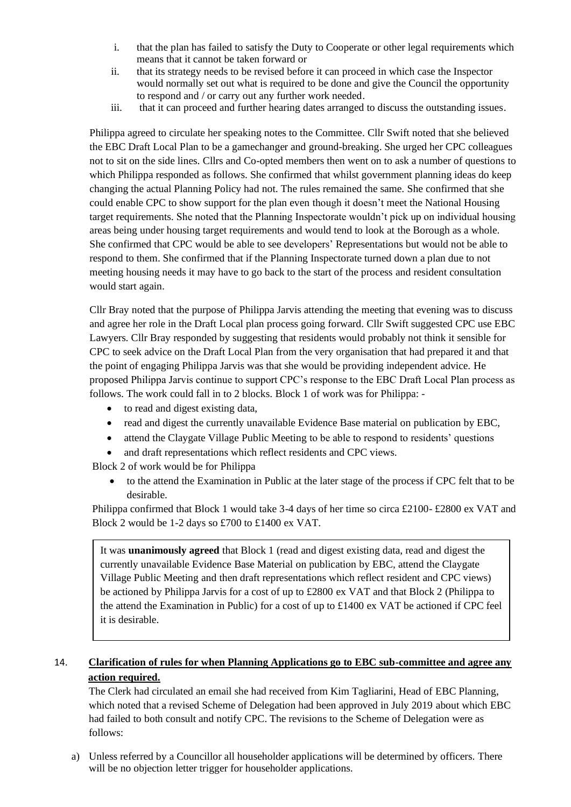- i. that the plan has failed to satisfy the Duty to Cooperate or other legal requirements which means that it cannot be taken forward or
- ii. that its strategy needs to be revised before it can proceed in which case the Inspector would normally set out what is required to be done and give the Council the opportunity to respond and / or carry out any further work needed.
- iii. that it can proceed and further hearing dates arranged to discuss the outstanding issues.

Philippa agreed to circulate her speaking notes to the Committee. Cllr Swift noted that she believed the EBC Draft Local Plan to be a gamechanger and ground-breaking. She urged her CPC colleagues not to sit on the side lines. Cllrs and Co-opted members then went on to ask a number of questions to which Philippa responded as follows. She confirmed that whilst government planning ideas do keep changing the actual Planning Policy had not. The rules remained the same. She confirmed that she could enable CPC to show support for the plan even though it doesn't meet the National Housing target requirements. She noted that the Planning Inspectorate wouldn't pick up on individual housing areas being under housing target requirements and would tend to look at the Borough as a whole. She confirmed that CPC would be able to see developers' Representations but would not be able to respond to them. She confirmed that if the Planning Inspectorate turned down a plan due to not meeting housing needs it may have to go back to the start of the process and resident consultation would start again.

Cllr Bray noted that the purpose of Philippa Jarvis attending the meeting that evening was to discuss and agree her role in the Draft Local plan process going forward. Cllr Swift suggested CPC use EBC Lawyers. Cllr Bray responded by suggesting that residents would probably not think it sensible for CPC to seek advice on the Draft Local Plan from the very organisation that had prepared it and that the point of engaging Philippa Jarvis was that she would be providing independent advice. He proposed Philippa Jarvis continue to support CPC's response to the EBC Draft Local Plan process as follows. The work could fall in to 2 blocks. Block 1 of work was for Philippa: -

- to read and digest existing data,
- read and digest the currently unavailable Evidence Base material on publication by EBC,
- attend the Claygate Village Public Meeting to be able to respond to residents' questions
- and draft representations which reflect residents and CPC views.

Block 2 of work would be for Philippa

• to the attend the Examination in Public at the later stage of the process if CPC felt that to be desirable.

Philippa confirmed that Block 1 would take 3-4 days of her time so circa £2100- £2800 ex VAT and Block 2 would be 1-2 days so £700 to £1400 ex VAT.

It was **unanimously agreed** that Block 1 (read and digest existing data, read and digest the currently unavailable Evidence Base Material on publication by EBC, attend the Claygate Village Public Meeting and then draft representations which reflect resident and CPC views) be actioned by Philippa Jarvis for a cost of up to £2800 ex VAT and that Block 2 (Philippa to the attend the Examination in Public) for a cost of up to £1400 ex VAT be actioned if CPC feel it is desirable.

## 14. **Clarification of rules for when Planning Applications go to EBC sub-committee and agree any action required.**

The Clerk had circulated an email she had received from Kim Tagliarini, Head of EBC Planning, which noted that a revised Scheme of Delegation had been approved in July 2019 about which EBC had failed to both consult and notify CPC. The revisions to the Scheme of Delegation were as follows:

a) Unless referred by a Councillor all householder applications will be determined by officers. There will be no objection letter trigger for householder applications.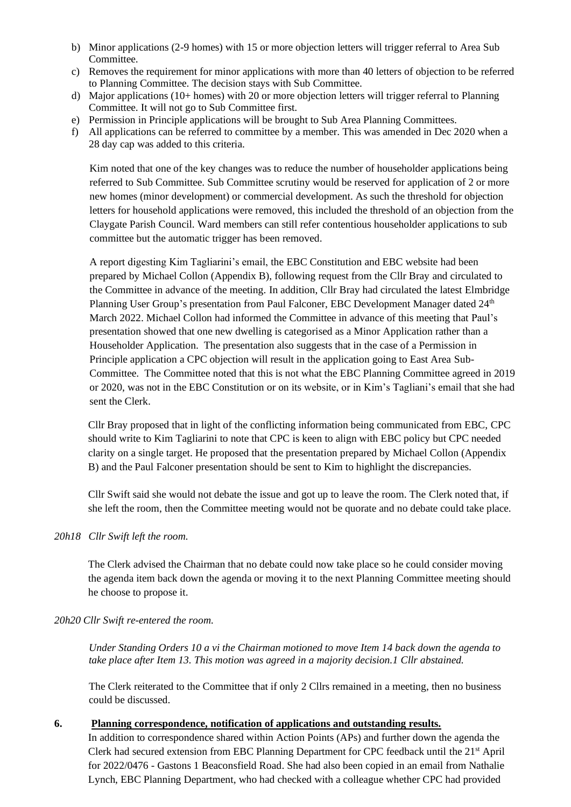- b) Minor applications (2-9 homes) with 15 or more objection letters will trigger referral to Area Sub Committee.
- c) Removes the requirement for minor applications with more than 40 letters of objection to be referred to Planning Committee. The decision stays with Sub Committee.
- d) Major applications (10+ homes) with 20 or more objection letters will trigger referral to Planning Committee. It will not go to Sub Committee first.
- e) Permission in Principle applications will be brought to Sub Area Planning Committees.
- f) All applications can be referred to committee by a member. This was amended in Dec 2020 when a 28 day cap was added to this criteria.

Kim noted that one of the key changes was to reduce the number of householder applications being referred to Sub Committee. Sub Committee scrutiny would be reserved for application of 2 or more new homes (minor development) or commercial development. As such the threshold for objection letters for household applications were removed, this included the threshold of an objection from the Claygate Parish Council. Ward members can still refer contentious householder applications to sub committee but the automatic trigger has been removed.

A report digesting Kim Tagliarini's email, the EBC Constitution and EBC website had been prepared by Michael Collon (Appendix B), following request from the Cllr Bray and circulated to the Committee in advance of the meeting. In addition, Cllr Bray had circulated the latest Elmbridge Planning User Group's presentation from Paul Falconer, EBC Development Manager dated 24<sup>th</sup> March 2022. Michael Collon had informed the Committee in advance of this meeting that Paul's presentation showed that one new dwelling is categorised as a Minor Application rather than a Householder Application. The presentation also suggests that in the case of a Permission in Principle application a CPC objection will result in the application going to East Area Sub-Committee. The Committee noted that this is not what the EBC Planning Committee agreed in 2019 or 2020, was not in the EBC Constitution or on its website, or in Kim's Tagliani's email that she had sent the Clerk.

Cllr Bray proposed that in light of the conflicting information being communicated from EBC, CPC should write to Kim Tagliarini to note that CPC is keen to align with EBC policy but CPC needed clarity on a single target. He proposed that the presentation prepared by Michael Collon (Appendix B) and the Paul Falconer presentation should be sent to Kim to highlight the discrepancies.

Cllr Swift said she would not debate the issue and got up to leave the room. The Clerk noted that, if she left the room, then the Committee meeting would not be quorate and no debate could take place.

#### *20h18 Cllr Swift left the room.*

The Clerk advised the Chairman that no debate could now take place so he could consider moving the agenda item back down the agenda or moving it to the next Planning Committee meeting should he choose to propose it.

#### *20h20 Cllr Swift re-entered the room.*

*Under Standing Orders 10 a vi the Chairman motioned to move Item 14 back down the agenda to take place after Item 13. This motion was agreed in a majority decision.1 Cllr abstained.* 

The Clerk reiterated to the Committee that if only 2 Cllrs remained in a meeting, then no business could be discussed.

#### **6. Planning correspondence, notification of applications and outstanding results.**

In addition to correspondence shared within Action Points (APs) and further down the agenda the Clerk had secured extension from EBC Planning Department for CPC feedback until the 21<sup>st</sup> April for 2022/0476 - Gastons 1 Beaconsfield Road. She had also been copied in an email from Nathalie Lynch, EBC Planning Department, who had checked with a colleague whether CPC had provided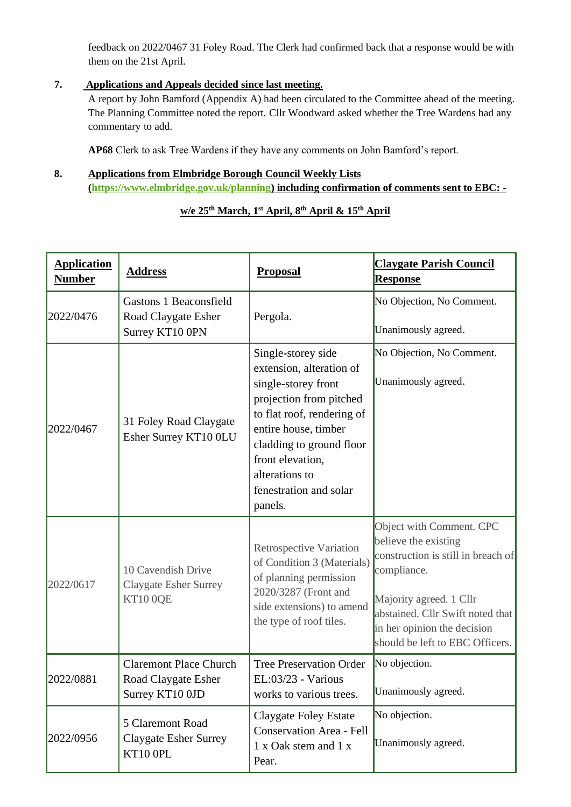feedback on 2022/0467 31 Foley Road. The Clerk had confirmed back that a response would be with them on the 21st April.

## **7. Applications and Appeals decided since last meeting.**

A report by John Bamford (Appendix A) had been circulated to the Committee ahead of the meeting. The Planning Committee noted the report. Cllr Woodward asked whether the Tree Wardens had any commentary to add.

**AP68** Clerk to ask Tree Wardens if they have any comments on John Bamford's report.

## **8. Applications from Elmbridge Borough Council Weekly Lists**

**[\(https://www.elmbridge.gov.uk/planning\)](https://www.elmbridge.gov.uk/planning) including confirmation of comments sent to EBC: -**

# **w/e 25th March, 1st April, 8th April & 15th April**

| <b>Application</b><br><b>Number</b> | <b>Address</b>                                                          | <b>Proposal</b>                                                                                                                                                                                                                                               | <b>Claygate Parish Council</b><br><b>Response</b>                                                                                                                                                                                      |
|-------------------------------------|-------------------------------------------------------------------------|---------------------------------------------------------------------------------------------------------------------------------------------------------------------------------------------------------------------------------------------------------------|----------------------------------------------------------------------------------------------------------------------------------------------------------------------------------------------------------------------------------------|
| 2022/0476                           | Gastons 1 Beaconsfield<br>Road Claygate Esher<br>Surrey KT10 0PN        | Pergola.                                                                                                                                                                                                                                                      | No Objection, No Comment.<br>Unanimously agreed.                                                                                                                                                                                       |
| 2022/0467                           | 31 Foley Road Claygate<br>Esher Surrey KT10 0LU                         | Single-storey side<br>extension, alteration of<br>single-storey front<br>projection from pitched<br>to flat roof, rendering of<br>entire house, timber<br>cladding to ground floor<br>front elevation,<br>alterations to<br>fenestration and solar<br>panels. | No Objection, No Comment.<br>Unanimously agreed.                                                                                                                                                                                       |
| 2022/0617                           | 10 Cavendish Drive<br><b>Claygate Esher Surrey</b><br>KT10 0QE          | <b>Retrospective Variation</b><br>of Condition 3 (Materials)<br>of planning permission<br>2020/3287 (Front and<br>side extensions) to amend<br>the type of roof tiles.                                                                                        | Object with Comment. CPC<br>believe the existing<br>construction is still in breach of<br>compliance.<br>Majority agreed. 1 Cllr<br>abstained. Cllr Swift noted that<br>in her opinion the decision<br>should be left to EBC Officers. |
| 2022/0881                           | <b>Claremont Place Church</b><br>Road Claygate Esher<br>Surrey KT10 0JD | <b>Tree Preservation Order</b><br>EL:03/23 - Various<br>works to various trees.                                                                                                                                                                               | No objection.<br>Unanimously agreed.                                                                                                                                                                                                   |
| 2022/0956                           | 5 Claremont Road<br><b>Claygate Esher Surrey</b><br>KT10 OPL            | <b>Claygate Foley Estate</b><br><b>Conservation Area - Fell</b><br>1 x Oak stem and 1 x<br>Pear.                                                                                                                                                              | No objection.<br>Unanimously agreed.                                                                                                                                                                                                   |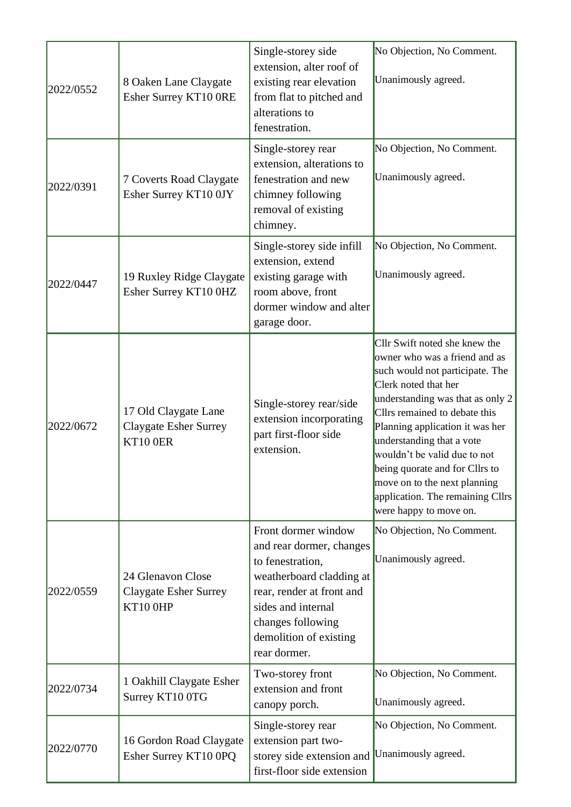| 2022/0552 | 8 Oaken Lane Claygate<br>Esher Surrey KT10 ORE                   | Single-storey side<br>extension, alter roof of<br>existing rear elevation<br>from flat to pitched and<br>alterations to<br>fenestration.                                                                          | No Objection, No Comment.<br>Unanimously agreed.                                                                                                                                                                                                                                                                                                                                                                               |
|-----------|------------------------------------------------------------------|-------------------------------------------------------------------------------------------------------------------------------------------------------------------------------------------------------------------|--------------------------------------------------------------------------------------------------------------------------------------------------------------------------------------------------------------------------------------------------------------------------------------------------------------------------------------------------------------------------------------------------------------------------------|
| 2022/0391 | 7 Coverts Road Claygate<br>Esher Surrey KT10 0JY                 | Single-storey rear<br>extension, alterations to<br>fenestration and new<br>chimney following<br>removal of existing<br>chimney.                                                                                   | No Objection, No Comment.<br>Unanimously agreed.                                                                                                                                                                                                                                                                                                                                                                               |
| 2022/0447 | 19 Ruxley Ridge Claygate<br>Esher Surrey KT10 0HZ                | Single-storey side infill<br>extension, extend<br>existing garage with<br>room above, front<br>dormer window and alter<br>garage door.                                                                            | No Objection, No Comment.<br>Unanimously agreed.                                                                                                                                                                                                                                                                                                                                                                               |
| 2022/0672 | 17 Old Claygate Lane<br><b>Claygate Esher Surrey</b><br>KT10 OER | Single-storey rear/side<br>extension incorporating<br>part first-floor side<br>extension.                                                                                                                         | Cllr Swift noted she knew the<br>owner who was a friend and as<br>such would not participate. The<br>Clerk noted that her<br>understanding was that as only 2<br>Cllrs remained to debate this<br>Planning application it was her<br>understanding that a vote<br>wouldn't be valid due to not<br>being quorate and for Cllrs to<br>move on to the next planning<br>application. The remaining Cllrs<br>were happy to move on. |
| 2022/0559 | 24 Glenavon Close<br><b>Claygate Esher Surrey</b><br>KT10 OHP    | Front dormer window<br>and rear dormer, changes<br>to fenestration,<br>weatherboard cladding at<br>rear, render at front and<br>sides and internal<br>changes following<br>demolition of existing<br>rear dormer. | No Objection, No Comment.<br>Unanimously agreed.                                                                                                                                                                                                                                                                                                                                                                               |
| 2022/0734 | 1 Oakhill Claygate Esher<br>Surrey KT10 0TG                      | Two-storey front<br>extension and front<br>canopy porch.                                                                                                                                                          | No Objection, No Comment.<br>Unanimously agreed.                                                                                                                                                                                                                                                                                                                                                                               |
| 2022/0770 | 16 Gordon Road Claygate<br>Esher Surrey KT10 0PQ                 | Single-storey rear<br>extension part two-<br>storey side extension and<br>first-floor side extension                                                                                                              | No Objection, No Comment.<br>Unanimously agreed.                                                                                                                                                                                                                                                                                                                                                                               |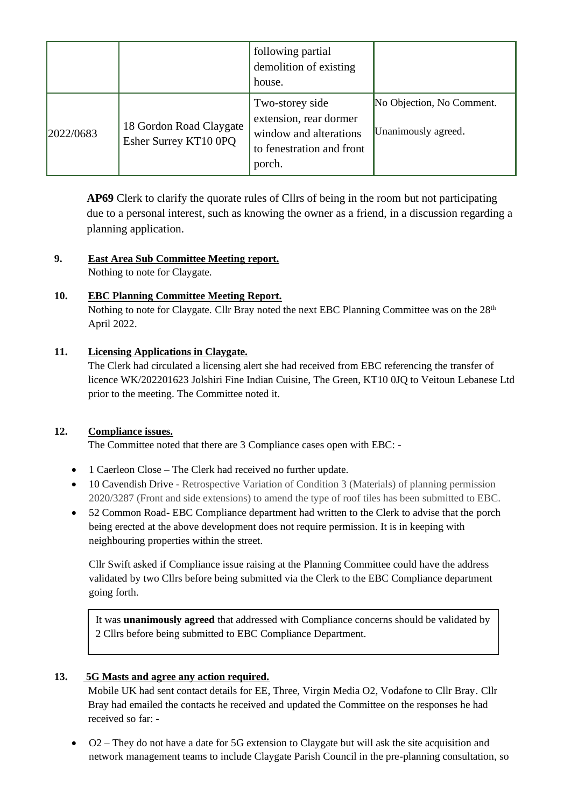|           |                                                  | following partial<br>demolition of existing<br>house.                                                      |                                                  |
|-----------|--------------------------------------------------|------------------------------------------------------------------------------------------------------------|--------------------------------------------------|
| 2022/0683 | 18 Gordon Road Claygate<br>Esher Surrey KT10 0PQ | Two-storey side<br>extension, rear dormer<br>window and alterations<br>to fenestration and front<br>porch. | No Objection, No Comment.<br>Unanimously agreed. |

**AP69** Clerk to clarify the quorate rules of Cllrs of being in the room but not participating due to a personal interest, such as knowing the owner as a friend, in a discussion regarding a planning application.

## **9. East Area Sub Committee Meeting report.**

Nothing to note for Claygate.

## **10. EBC Planning Committee Meeting Report.**  Nothing to note for Claygate. Cllr Bray noted the next EBC Planning Committee was on the  $28<sup>th</sup>$ April 2022.

## **11. Licensing Applications in Claygate.**

The Clerk had circulated a licensing alert she had received from EBC referencing the transfer of licence WK/202201623 Jolshiri Fine Indian Cuisine, The Green, KT10 0JQ to Veitoun Lebanese Ltd prior to the meeting. The Committee noted it.

## **12. Compliance issues.**

The Committee noted that there are 3 Compliance cases open with EBC: -

- 1 Caerleon Close The Clerk had received no further update.
- 10 Cavendish Drive Retrospective Variation of Condition 3 (Materials) of planning permission 2020/3287 (Front and side extensions) to amend the type of roof tiles has been submitted to EBC.
- 52 Common Road- EBC Compliance department had written to the Clerk to advise that the porch being erected at the above development does not require permission. It is in keeping with neighbouring properties within the street.

Cllr Swift asked if Compliance issue raising at the Planning Committee could have the address validated by two Cllrs before being submitted via the Clerk to the EBC Compliance department going forth.

It was **unanimously agreed** that addressed with Compliance concerns should be validated by 2 Cllrs before being submitted to EBC Compliance Department.

## **13. 5G Masts and agree any action required.**

Mobile UK had sent contact details for EE, Three, Virgin Media O2, Vodafone to Cllr Bray. Cllr Bray had emailed the contacts he received and updated the Committee on the responses he had received so far: -

• O2 – They do not have a date for 5G extension to Claygate but will ask the site acquisition and network management teams to include Claygate Parish Council in the pre-planning consultation, so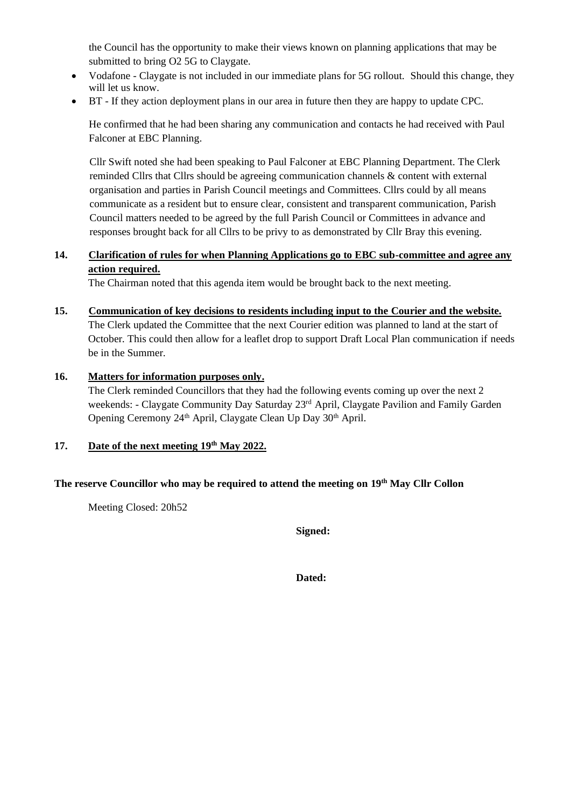the Council has the opportunity to make their views known on planning applications that may be submitted to bring O2 5G to Claygate.

- Vodafone Claygate is not included in our immediate plans for 5G rollout. Should this change, they will let us know.
- BT If they action deployment plans in our area in future then they are happy to update CPC.

He confirmed that he had been sharing any communication and contacts he had received with Paul Falconer at EBC Planning.

Cllr Swift noted she had been speaking to Paul Falconer at EBC Planning Department. The Clerk reminded Cllrs that Cllrs should be agreeing communication channels & content with external organisation and parties in Parish Council meetings and Committees. Cllrs could by all means communicate as a resident but to ensure clear, consistent and transparent communication, Parish Council matters needed to be agreed by the full Parish Council or Committees in advance and responses brought back for all Cllrs to be privy to as demonstrated by Cllr Bray this evening.

## **14. Clarification of rules for when Planning Applications go to EBC sub-committee and agree any action required.**

The Chairman noted that this agenda item would be brought back to the next meeting.

**15. Communication of key decisions to residents including input to the Courier and the website.** The Clerk updated the Committee that the next Courier edition was planned to land at the start of October. This could then allow for a leaflet drop to support Draft Local Plan communication if needs be in the Summer.

## **16. Matters for information purposes only.**

The Clerk reminded Councillors that they had the following events coming up over the next 2 weekends: - Claygate Community Day Saturday 23rd April, Claygate Pavilion and Family Garden Opening Ceremony 24<sup>th</sup> April, Claygate Clean Up Day 30<sup>th</sup> April.

## **17. Date of the next meeting 19th May 2022.**

## **The reserve Councillor who may be required to attend the meeting on 19th May Cllr Collon**

Meeting Closed: 20h52

**Signed:**

**Dated:**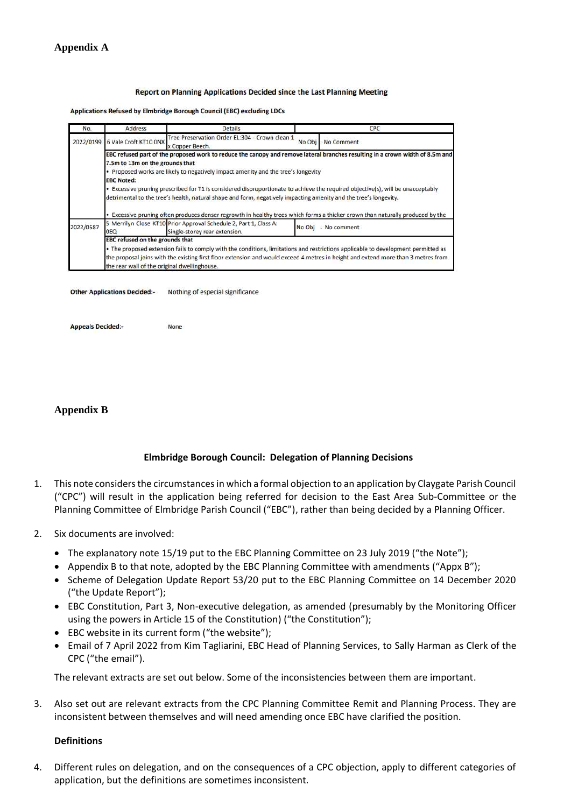#### Report on Planning Applications Decided since the Last Planning Meeting

Applications Refused by Elmbridge Borough Council (EBC) excluding LDCs

| No.       | Address                                                                                                                           | <b>Details</b>                                                                                                                |        | CPC                 |  |
|-----------|-----------------------------------------------------------------------------------------------------------------------------------|-------------------------------------------------------------------------------------------------------------------------------|--------|---------------------|--|
| 2022/0199 | 6 Vale Croft KT10 ONX                                                                                                             | Tree Preservation Order EL:304 - Crown clean 1<br>x Copper Beech.                                                             | No Obi | - No Comment        |  |
|           |                                                                                                                                   | EBC refused part of the proposed work to reduce the canopy and remove lateral branches resulting in a crown width of 8.5m and |        |                     |  |
|           |                                                                                                                                   | 7.5m to 13m on the grounds that                                                                                               |        |                     |  |
|           | . Proposed works are likely to negatively impact amenity and the tree's longevity                                                 |                                                                                                                               |        |                     |  |
|           | <b>EBC Noted:</b>                                                                                                                 |                                                                                                                               |        |                     |  |
|           | • Excessive pruning prescribed for T1 is considered disproportionate to achieve the required objective(s), will be unacceptably   |                                                                                                                               |        |                     |  |
|           | detrimental to the tree's health, natural shape and form, negatively impacting amenity and the tree's longevity.                  |                                                                                                                               |        |                     |  |
|           | . Excessive pruning often produces denser regrowth in healthy trees which forms a thicker crown than naturally produced by the    |                                                                                                                               |        |                     |  |
| 2022/0587 | 0EQ                                                                                                                               | 5 Merrilyn Close KT10 Prior Approval Schedule 2, Part 1, Class A:<br>Single-storey rear extension.                            |        | No Obi . No comment |  |
|           | <b>EBC refused on the grounds that</b>                                                                                            |                                                                                                                               |        |                     |  |
|           | . The proposed extension fails to comply with the conditions, limitations and restrictions applicable to development permitted as |                                                                                                                               |        |                     |  |
|           | the proposal joins with the existing first floor extension and would exceed 4 metres in height and extend more than 3 metres from |                                                                                                                               |        |                     |  |
|           | the rear wall of the original dwellinghouse.                                                                                      |                                                                                                                               |        |                     |  |

Nothing of especial significance **Other Applications Decided:-**

**Appeals Decided:-**None

#### **Appendix B**

#### **Elmbridge Borough Council: Delegation of Planning Decisions**

- 1. This note considers the circumstances in which a formal objection to an application by Claygate Parish Council ("CPC") will result in the application being referred for decision to the East Area Sub-Committee or the Planning Committee of Elmbridge Parish Council ("EBC"), rather than being decided by a Planning Officer.
- 2. Six documents are involved:
	- The explanatory note 15/19 put to the EBC Planning Committee on 23 July 2019 ("the Note");
	- Appendix B to that note, adopted by the EBC Planning Committee with amendments ("Appx B");
	- Scheme of Delegation Update Report 53/20 put to the EBC Planning Committee on 14 December 2020 ("the Update Report");
	- EBC Constitution, Part 3, Non-executive delegation, as amended (presumably by the Monitoring Officer using the powers in Article 15 of the Constitution) ("the Constitution");
	- EBC website in its current form ("the website");
	- Email of 7 April 2022 from Kim Tagliarini, EBC Head of Planning Services, to Sally Harman as Clerk of the CPC ("the email").

The relevant extracts are set out below. Some of the inconsistencies between them are important.

3. Also set out are relevant extracts from the CPC Planning Committee Remit and Planning Process. They are inconsistent between themselves and will need amending once EBC have clarified the position.

### **Definitions**

4. Different rules on delegation, and on the consequences of a CPC objection, apply to different categories of application, but the definitions are sometimes inconsistent.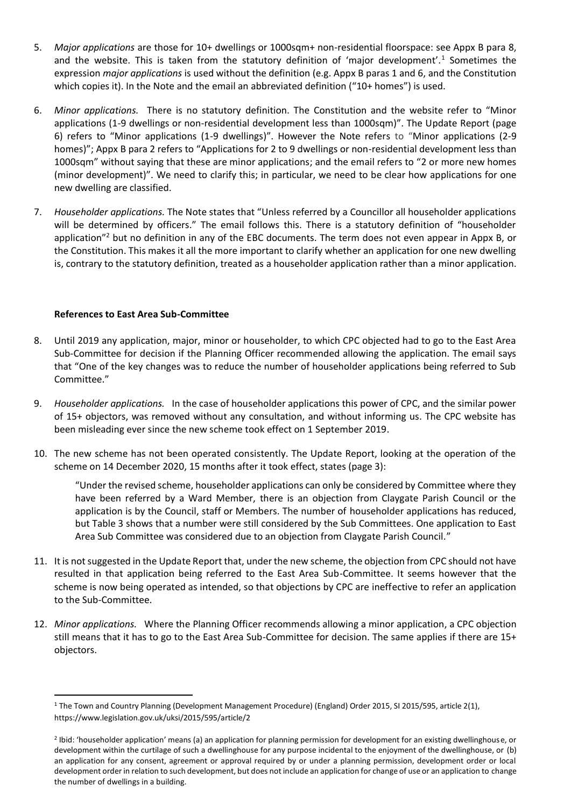- 5. *Major applications* are those for 10+ dwellings or 1000sqm+ non-residential floorspace: see Appx B para 8, and the website. This is taken from the statutory definition of 'major development'.<sup>1</sup> Sometimes the expression *major applications* is used without the definition (e.g. Appx B paras 1 and 6, and the Constitution which copies it). In the Note and the email an abbreviated definition ("10+ homes") is used.
- 6. *Minor applications.* There is no statutory definition. The Constitution and the website refer to "Minor applications (1-9 dwellings or non-residential development less than 1000sqm)". The Update Report (page 6) refers to "Minor applications (1-9 dwellings)". However the Note refers to "Minor applications (2-9 homes)"; Appx B para 2 refers to "Applications for 2 to 9 dwellings or non-residential development less than 1000sqm" without saying that these are minor applications; and the email refers to "2 or more new homes (minor development)". We need to clarify this; in particular, we need to be clear how applications for one new dwelling are classified.
- 7. *Householder applications.* The Note states that "Unless referred by a Councillor all householder applications will be determined by officers." The email follows this. There is a statutory definition of "householder application"<sup>2</sup> but no definition in any of the EBC documents. The term does not even appear in Appx B, or the Constitution. This makes it all the more important to clarify whether an application for one new dwelling is, contrary to the statutory definition, treated as a householder application rather than a minor application.

#### **References to East Area Sub-Committee**

- 8. Until 2019 any application, major, minor or householder, to which CPC objected had to go to the East Area Sub-Committee for decision if the Planning Officer recommended allowing the application. The email says that "One of the key changes was to reduce the number of householder applications being referred to Sub Committee."
- 9. *Householder applications.* In the case of householder applications this power of CPC, and the similar power of 15+ objectors, was removed without any consultation, and without informing us. The CPC website has been misleading ever since the new scheme took effect on 1 September 2019.
- 10. The new scheme has not been operated consistently. The Update Report, looking at the operation of the scheme on 14 December 2020, 15 months after it took effect, states (page 3):

"Under the revised scheme, householder applications can only be considered by Committee where they have been referred by a Ward Member, there is an objection from Claygate Parish Council or the application is by the Council, staff or Members. The number of householder applications has reduced, but Table 3 shows that a number were still considered by the Sub Committees. One application to East Area Sub Committee was considered due to an objection from Claygate Parish Council."

- 11. It is not suggested in the Update Report that, under the new scheme, the objection from CPC should not have resulted in that application being referred to the East Area Sub-Committee. It seems however that the scheme is now being operated as intended, so that objections by CPC are ineffective to refer an application to the Sub-Committee.
- 12. *Minor applications.* Where the Planning Officer recommends allowing a minor application, a CPC objection still means that it has to go to the East Area Sub-Committee for decision. The same applies if there are 15+ objectors.

<sup>1</sup> The Town and Country Planning (Development Management Procedure) (England) Order 2015, SI 2015/595, article 2(1), <https://www.legislation.gov.uk/uksi/2015/595/article/2>

<sup>&</sup>lt;sup>2</sup> Ibid: 'householder application' means (a) an application for planning permission for development for an existing dwellinghouse, or development within the curtilage of such a dwellinghouse for any purpose incidental to the enjoyment of the dwellinghouse, or (b) an application for any consent, agreement or approval required by or under a planning permission, development order or local development order in relation to such development, but does not include an application for change of use or an application to change the number of dwellings in a building.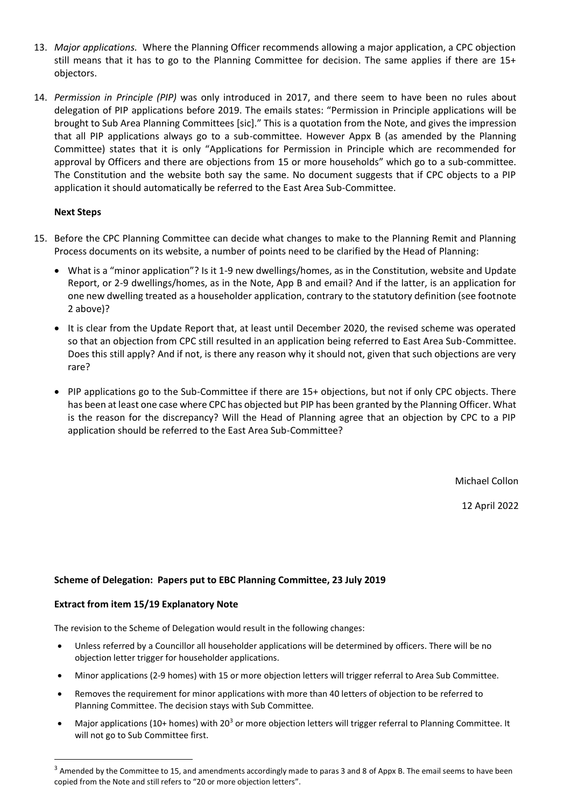- 13. *Major applications.* Where the Planning Officer recommends allowing a major application, a CPC objection still means that it has to go to the Planning Committee for decision. The same applies if there are 15+ objectors.
- 14. *Permission in Principle (PIP)* was only introduced in 2017, and there seem to have been no rules about delegation of PIP applications before 2019. The emails states: "Permission in Principle applications will be brought to Sub Area Planning Committees [sic]." This is a quotation from the Note, and gives the impression that all PIP applications always go to a sub-committee. However Appx B (as amended by the Planning Committee) states that it is only "Applications for Permission in Principle which are recommended for approval by Officers and there are objections from 15 or more households" which go to a sub-committee. The Constitution and the website both say the same. No document suggests that if CPC objects to a PIP application it should automatically be referred to the East Area Sub-Committee.

### **Next Steps**

- 15. Before the CPC Planning Committee can decide what changes to make to the Planning Remit and Planning Process documents on its website, a number of points need to be clarified by the Head of Planning:
	- What is a "minor application"? Is it 1-9 new dwellings/homes, as in the Constitution, website and Update Report, or 2-9 dwellings/homes, as in the Note, App B and email? And if the latter, is an application for one new dwelling treated as a householder application, contrary to the statutory definition (see footnote 2 above)?
	- It is clear from the Update Report that, at least until December 2020, the revised scheme was operated so that an objection from CPC still resulted in an application being referred to East Area Sub-Committee. Does this still apply? And if not, is there any reason why it should not, given that such objections are very rare?
	- PIP applications go to the Sub-Committee if there are 15+ objections, but not if only CPC objects. There has been at least one case where CPC has objected but PIP has been granted by the Planning Officer. What is the reason for the discrepancy? Will the Head of Planning agree that an objection by CPC to a PIP application should be referred to the East Area Sub-Committee?

Michael Collon

12 April 2022

#### **Scheme of Delegation: Papers put to EBC Planning Committee, 23 July 2019**

#### **Extract from item 15/19 Explanatory Note**

The revision to the Scheme of Delegation would result in the following changes:

- Unless referred by a Councillor all householder applications will be determined by officers. There will be no objection letter trigger for householder applications.
- Minor applications (2-9 homes) with 15 or more objection letters will trigger referral to Area Sub Committee.
- Removes the requirement for minor applications with more than 40 letters of objection to be referred to Planning Committee. The decision stays with Sub Committee.
- Major applications (10+ homes) with 20 $3$  or more objection letters will trigger referral to Planning Committee. It will not go to Sub Committee first.

<sup>&</sup>lt;sup>3</sup> Amended by the Committee to 15, and amendments accordingly made to paras 3 and 8 of Appx B. The email seems to have been copied from the Note and still refers to "20 or more objection letters".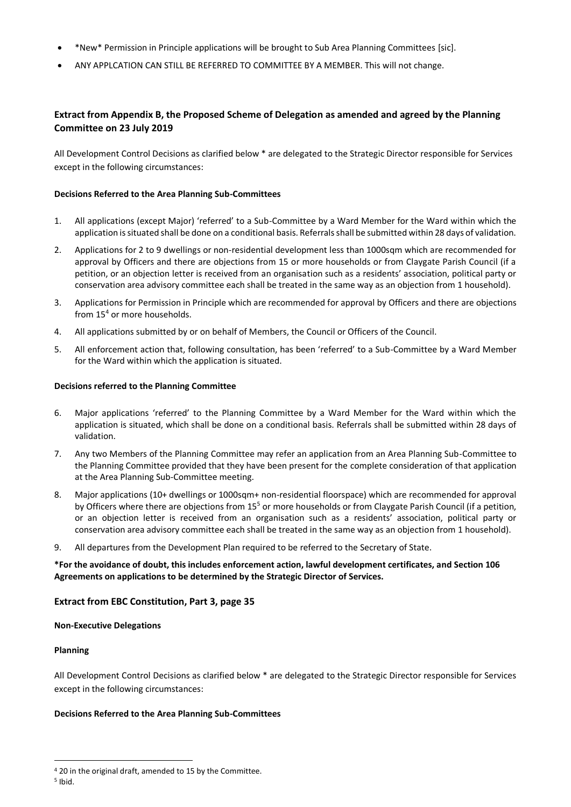- \*New\* Permission in Principle applications will be brought to Sub Area Planning Committees [sic].
- ANY APPLCATION CAN STILL BE REFERRED TO COMMITTEE BY A MEMBER. This will not change.

### **Extract from Appendix B, the Proposed Scheme of Delegation as amended and agreed by the Planning Committee on 23 July 2019**

All Development Control Decisions as clarified below \* are delegated to the Strategic Director responsible for Services except in the following circumstances:

#### **Decisions Referred to the Area Planning Sub-Committees**

- 1. All applications (except Major) 'referred' to a Sub-Committee by a Ward Member for the Ward within which the application is situated shall be done on a conditional basis. Referrals shall be submitted within 28 days of validation.
- 2. Applications for 2 to 9 dwellings or non-residential development less than 1000sqm which are recommended for approval by Officers and there are objections from 15 or more households or from Claygate Parish Council (if a petition, or an objection letter is received from an organisation such as a residents' association, political party or conservation area advisory committee each shall be treated in the same way as an objection from 1 household).
- 3. Applications for Permission in Principle which are recommended for approval by Officers and there are objections from 15<sup>4</sup> or more households.
- 4. All applications submitted by or on behalf of Members, the Council or Officers of the Council.
- 5. All enforcement action that, following consultation, has been 'referred' to a Sub-Committee by a Ward Member for the Ward within which the application is situated.

#### **Decisions referred to the Planning Committee**

- 6. Major applications 'referred' to the Planning Committee by a Ward Member for the Ward within which the application is situated, which shall be done on a conditional basis. Referrals shall be submitted within 28 days of validation.
- 7. Any two Members of the Planning Committee may refer an application from an Area Planning Sub-Committee to the Planning Committee provided that they have been present for the complete consideration of that application at the Area Planning Sub-Committee meeting.
- 8. Major applications (10+ dwellings or 1000sqm+ non-residential floorspace) which are recommended for approval by Officers where there are objections from 15<sup>5</sup> or more households or from Claygate Parish Council (if a petition, or an objection letter is received from an organisation such as a residents' association, political party or conservation area advisory committee each shall be treated in the same way as an objection from 1 household).
- 9. All departures from the Development Plan required to be referred to the Secretary of State.

#### **\*For the avoidance of doubt, this includes enforcement action, lawful development certificates, and Section 106 Agreements on applications to be determined by the Strategic Director of Services.**

#### **Extract from EBC Constitution, Part 3, page 35**

#### **Non-Executive Delegations**

#### **Planning**

All Development Control Decisions as clarified below \* are delegated to the Strategic Director responsible for Services except in the following circumstances:

#### **Decisions Referred to the Area Planning Sub-Committees**

<sup>4</sup> 20 in the original draft, amended to 15 by the Committee.

<sup>5</sup> Ibid.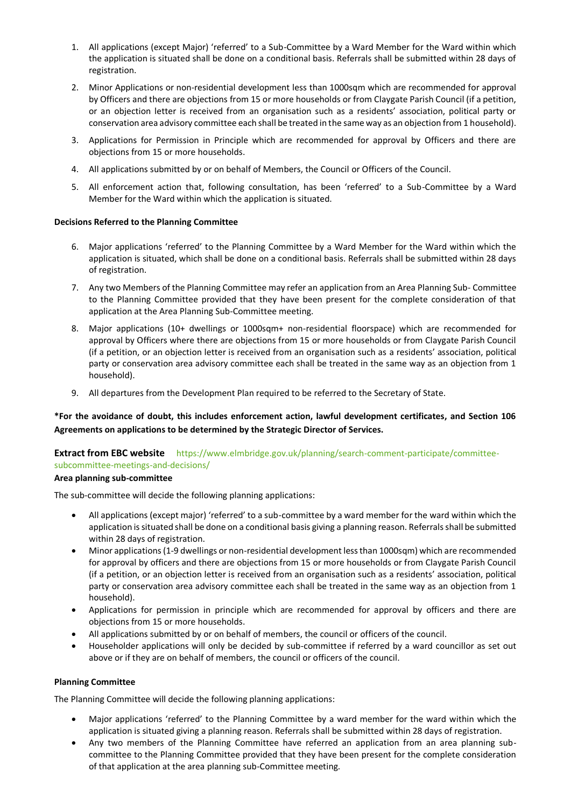- 1. All applications (except Major) 'referred' to a Sub-Committee by a Ward Member for the Ward within which the application is situated shall be done on a conditional basis. Referrals shall be submitted within 28 days of registration.
- 2. Minor Applications or non-residential development less than 1000sqm which are recommended for approval by Officers and there are objections from 15 or more households or from Claygate Parish Council (if a petition, or an objection letter is received from an organisation such as a residents' association, political party or conservation area advisory committee each shall be treated in the same way as an objection from 1 household).
- 3. Applications for Permission in Principle which are recommended for approval by Officers and there are objections from 15 or more households.
- 4. All applications submitted by or on behalf of Members, the Council or Officers of the Council.
- 5. All enforcement action that, following consultation, has been 'referred' to a Sub-Committee by a Ward Member for the Ward within which the application is situated.

#### **Decisions Referred to the Planning Committee**

- 6. Major applications 'referred' to the Planning Committee by a Ward Member for the Ward within which the application is situated, which shall be done on a conditional basis. Referrals shall be submitted within 28 days of registration.
- 7. Any two Members of the Planning Committee may refer an application from an Area Planning Sub- Committee to the Planning Committee provided that they have been present for the complete consideration of that application at the Area Planning Sub-Committee meeting.
- 8. Major applications (10+ dwellings or 1000sqm+ non-residential floorspace) which are recommended for approval by Officers where there are objections from 15 or more households or from Claygate Parish Council (if a petition, or an objection letter is received from an organisation such as a residents' association, political party or conservation area advisory committee each shall be treated in the same way as an objection from 1 household).
- 9. All departures from the Development Plan required to be referred to the Secretary of State.

### **\*For the avoidance of doubt, this includes enforcement action, lawful development certificates, and Section 106 Agreements on applications to be determined by the Strategic Director of Services.**

## **Extract from EBC website** [https://www.elmbridge.gov.uk/planning/search-comment-participate/committee](https://www.elmbridge.gov.uk/planning/search-comment-participate/committee-subcommittee-meetings-and-decisions/)[subcommittee-meetings-and-decisions/](https://www.elmbridge.gov.uk/planning/search-comment-participate/committee-subcommittee-meetings-and-decisions/)

#### **Area planning sub-committee**

The sub-committee will decide the following planning applications:

- All applications (except major) 'referred' to a sub-committee by a ward member for the ward within which the application is situated shall be done on a conditional basis giving a planning reason. Referrals shall be submitted within 28 days of registration.
- Minor applications (1-9 dwellings or non-residential development less than 1000sqm) which are recommended for approval by officers and there are objections from 15 or more households or from Claygate Parish Council (if a petition, or an objection letter is received from an organisation such as a residents' association, political party or conservation area advisory committee each shall be treated in the same way as an objection from 1 household).
- Applications for permission in principle which are recommended for approval by officers and there are objections from 15 or more households.
- All applications submitted by or on behalf of members, the council or officers of the council.
- Householder applications will only be decided by sub-committee if referred by a ward councillor as set out above or if they are on behalf of members, the council or officers of the council.

#### **Planning Committee**

The Planning Committee will decide the following planning applications:

- Major applications 'referred' to the Planning Committee by a ward member for the ward within which the application is situated giving a planning reason. Referrals shall be submitted within 28 days of registration.
- Any two members of the Planning Committee have referred an application from an area planning subcommittee to the Planning Committee provided that they have been present for the complete consideration of that application at the area planning sub-Committee meeting.